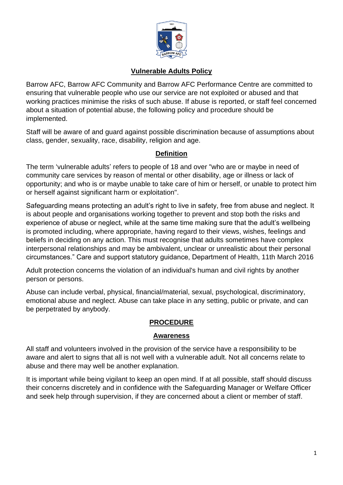

### **Vulnerable Adults Policy**

Barrow AFC, Barrow AFC Community and Barrow AFC Performance Centre are committed to ensuring that vulnerable people who use our service are not exploited or abused and that working practices minimise the risks of such abuse. If abuse is reported, or staff feel concerned about a situation of potential abuse, the following policy and procedure should be implemented.

Staff will be aware of and guard against possible discrimination because of assumptions about class, gender, sexuality, race, disability, religion and age.

## **Definition**

The term 'vulnerable adults' refers to people of 18 and over "who are or maybe in need of community care services by reason of mental or other disability, age or illness or lack of opportunity; and who is or maybe unable to take care of him or herself, or unable to protect him or herself against significant harm or exploitation".

Safeguarding means protecting an adult's right to live in safety, free from abuse and neglect. It is about people and organisations working together to prevent and stop both the risks and experience of abuse or neglect, while at the same time making sure that the adult's wellbeing is promoted including, where appropriate, having regard to their views, wishes, feelings and beliefs in deciding on any action. This must recognise that adults sometimes have complex interpersonal relationships and may be ambivalent, unclear or unrealistic about their personal circumstances." Care and support statutory guidance, Department of Health, 11th March 2016

Adult protection concerns the violation of an individual's human and civil rights by another person or persons.

Abuse can include verbal, physical, financial/material, sexual, psychological, discriminatory, emotional abuse and neglect. Abuse can take place in any setting, public or private, and can be perpetrated by anybody.

### **PROCEDURE**

### **Awareness**

All staff and volunteers involved in the provision of the service have a responsibility to be aware and alert to signs that all is not well with a vulnerable adult. Not all concerns relate to abuse and there may well be another explanation.

It is important while being vigilant to keep an open mind. If at all possible, staff should discuss their concerns discretely and in confidence with the Safeguarding Manager or Welfare Officer and seek help through supervision, if they are concerned about a client or member of staff.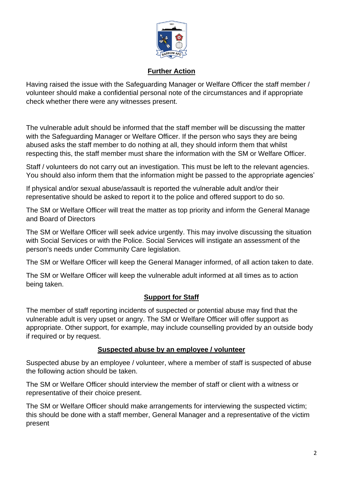

## **Further Action**

Having raised the issue with the Safeguarding Manager or Welfare Officer the staff member / volunteer should make a confidential personal note of the circumstances and if appropriate check whether there were any witnesses present.

The vulnerable adult should be informed that the staff member will be discussing the matter with the Safeguarding Manager or Welfare Officer. If the person who says they are being abused asks the staff member to do nothing at all, they should inform them that whilst respecting this, the staff member must share the information with the SM or Welfare Officer.

Staff / volunteers do not carry out an investigation. This must be left to the relevant agencies. You should also inform them that the information might be passed to the appropriate agencies'

If physical and/or sexual abuse/assault is reported the vulnerable adult and/or their representative should be asked to report it to the police and offered support to do so.

The SM or Welfare Officer will treat the matter as top priority and inform the General Manage and Board of Directors

The SM or Welfare Officer will seek advice urgently. This may involve discussing the situation with Social Services or with the Police. Social Services will instigate an assessment of the person's needs under Community Care legislation.

The SM or Welfare Officer will keep the General Manager informed, of all action taken to date.

The SM or Welfare Officer will keep the vulnerable adult informed at all times as to action being taken.

### **Support for Staff**

The member of staff reporting incidents of suspected or potential abuse may find that the vulnerable adult is very upset or angry. The SM or Welfare Officer will offer support as appropriate. Other support, for example, may include counselling provided by an outside body if required or by request.

### **Suspected abuse by an employee / volunteer**

Suspected abuse by an employee / volunteer, where a member of staff is suspected of abuse the following action should be taken.

The SM or Welfare Officer should interview the member of staff or client with a witness or representative of their choice present.

The SM or Welfare Officer should make arrangements for interviewing the suspected victim; this should be done with a staff member, General Manager and a representative of the victim present